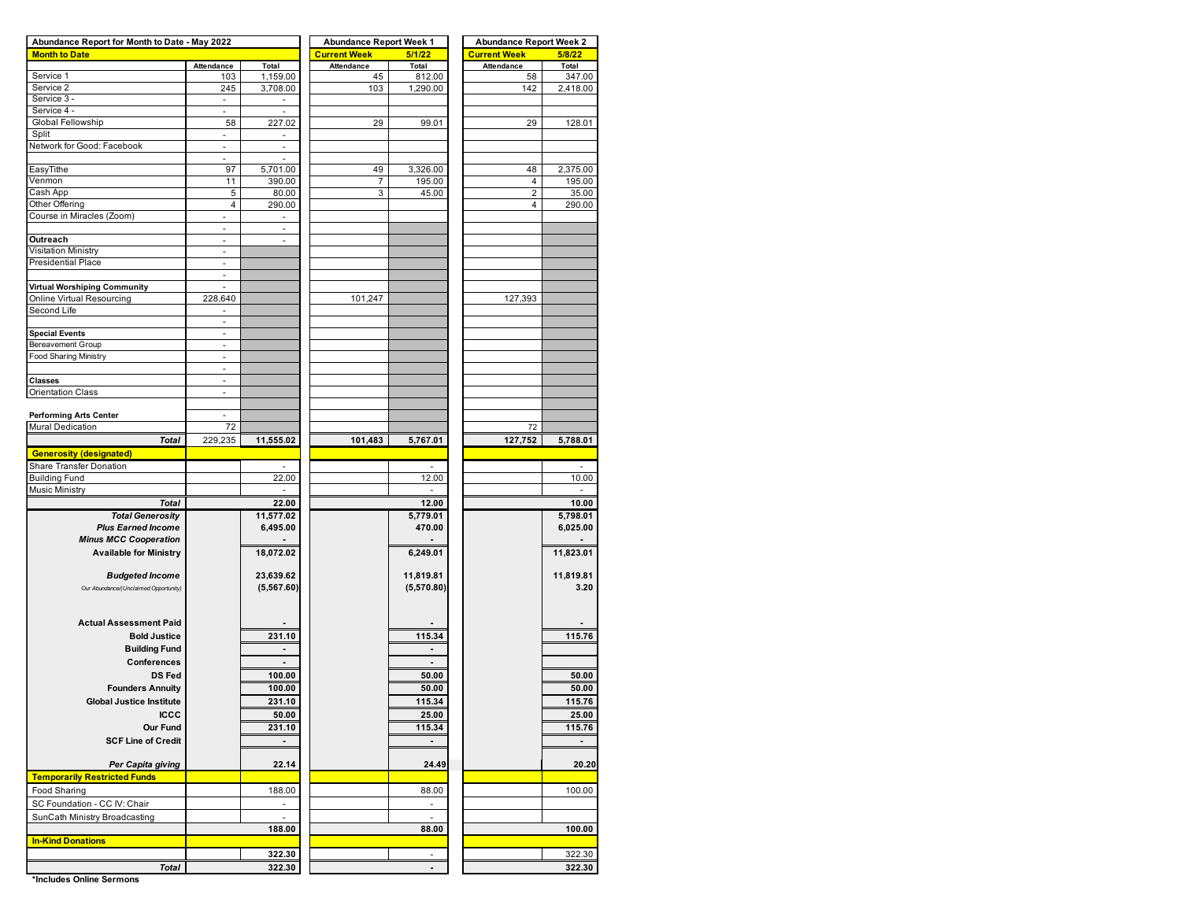| Abundance Report for Month to Date - May 2022 |                          |                          | <b>Abundance Report Week 1</b> |                          | <b>Abundance Report Week 2</b> |                          |  |  |  |  |
|-----------------------------------------------|--------------------------|--------------------------|--------------------------------|--------------------------|--------------------------------|--------------------------|--|--|--|--|
| <b>Month to Date</b>                          |                          |                          | <b>Current Week</b>            | 5/1/22                   | <b>Current Week</b>            | 5/8/22                   |  |  |  |  |
|                                               | Attendance               | Total                    | Attendance                     | Total                    | Attendance                     | Total                    |  |  |  |  |
| Service 1                                     | 103                      | 1,159.00                 | 45                             | 812.00                   | 58                             | 347.00                   |  |  |  |  |
| Service 2                                     | 245                      | 3,708.00                 | 103                            | 1,290.00                 | 142                            | 2,418.00                 |  |  |  |  |
| Service 3 -                                   | $\overline{\phantom{a}}$ |                          |                                |                          |                                |                          |  |  |  |  |
| Service 4 -                                   | ä,                       | ÷.                       |                                |                          |                                |                          |  |  |  |  |
| Global Fellowship                             | 58                       | 227.02                   | 29                             | 99.01                    | 29                             | 128.01                   |  |  |  |  |
| Split                                         | ä,                       |                          |                                |                          |                                |                          |  |  |  |  |
|                                               |                          |                          |                                |                          |                                |                          |  |  |  |  |
| Network for Good: Facebook                    | $\overline{\phantom{a}}$ | ÷,                       |                                |                          |                                |                          |  |  |  |  |
|                                               | ä,                       |                          |                                |                          |                                |                          |  |  |  |  |
| EasyTithe                                     | 97                       | 5,701.00                 | 49                             | 3,326.00                 | 48                             | 2,375.00                 |  |  |  |  |
| Venmon                                        | 11                       | 390.00                   | 7                              | 195.00                   | $\overline{4}$                 | 195.00                   |  |  |  |  |
| Cash App                                      | 5                        | 80.00                    | 3                              | 45.00                    | $\overline{2}$                 | 35.00                    |  |  |  |  |
| Other Offering                                | 4                        | 290.00                   |                                |                          | $\overline{4}$                 | 290.00                   |  |  |  |  |
| Course in Miracles (Zoom)                     | $\overline{\phantom{a}}$ | $\overline{\phantom{a}}$ |                                |                          |                                |                          |  |  |  |  |
|                                               | ÷,                       |                          |                                |                          |                                |                          |  |  |  |  |
| Outreach                                      | ÷,                       | ä,                       |                                |                          |                                |                          |  |  |  |  |
|                                               |                          |                          |                                |                          |                                |                          |  |  |  |  |
| <b>Visitation Ministry</b>                    | ÷,                       |                          |                                |                          |                                |                          |  |  |  |  |
| <b>Presidential Place</b>                     | $\omega$                 |                          |                                |                          |                                |                          |  |  |  |  |
|                                               | $\overline{\phantom{a}}$ |                          |                                |                          |                                |                          |  |  |  |  |
| Virtual Worshiping Community                  |                          |                          |                                |                          |                                |                          |  |  |  |  |
| Online Virtual Resourcing                     | 228,640                  |                          | 101,247                        |                          | 127,393                        |                          |  |  |  |  |
| Second Life                                   | $\overline{\phantom{a}}$ |                          |                                |                          |                                |                          |  |  |  |  |
|                                               | $\overline{\phantom{a}}$ |                          |                                |                          |                                |                          |  |  |  |  |
| <b>Special Events</b>                         | $\sim$                   |                          |                                |                          |                                |                          |  |  |  |  |
|                                               |                          |                          |                                |                          |                                |                          |  |  |  |  |
| <b>Bereavement Group</b>                      |                          |                          |                                |                          |                                |                          |  |  |  |  |
| <b>Food Sharing Ministry</b>                  | $\blacksquare$           |                          |                                |                          |                                |                          |  |  |  |  |
|                                               | $\overline{\phantom{a}}$ |                          |                                |                          |                                |                          |  |  |  |  |
| <b>Classes</b>                                | $\sim$                   |                          |                                |                          |                                |                          |  |  |  |  |
| Orientation Class                             | $\blacksquare$           |                          |                                |                          |                                |                          |  |  |  |  |
|                                               |                          |                          |                                |                          |                                |                          |  |  |  |  |
|                                               | ä,                       |                          |                                |                          |                                |                          |  |  |  |  |
| <b>Performing Arts Center</b>                 |                          |                          |                                |                          |                                |                          |  |  |  |  |
| Mural Dedication                              | 72                       |                          |                                |                          | 72                             |                          |  |  |  |  |
| <b>Total</b>                                  | 229,235                  | 11,555.02                | 101,483                        | 5,767.01                 | 127,752                        | 5,788.01                 |  |  |  |  |
| <b>Generosity (designated)</b>                |                          |                          |                                |                          |                                |                          |  |  |  |  |
| Share Transfer Donation                       |                          |                          |                                |                          |                                |                          |  |  |  |  |
| <b>Building Fund</b>                          |                          | 22.00                    |                                | 12.00                    |                                | 10.00                    |  |  |  |  |
|                                               |                          |                          |                                |                          |                                |                          |  |  |  |  |
| Music Ministry                                |                          |                          |                                |                          |                                |                          |  |  |  |  |
| <b>Total</b>                                  |                          | 22.00                    |                                | 12.00                    |                                | 10.00                    |  |  |  |  |
| <b>Total Generosity</b>                       |                          | 11,577.02                |                                | 5,779.01                 |                                | 5,798.01                 |  |  |  |  |
| <b>Plus Earned Income</b>                     |                          | 6,495.00                 |                                | 470.00                   |                                | 6,025.00                 |  |  |  |  |
| <b>Minus MCC Cooperation</b>                  |                          |                          |                                |                          |                                |                          |  |  |  |  |
|                                               |                          |                          |                                |                          |                                |                          |  |  |  |  |
| <b>Available for Ministry</b>                 |                          | 18,072.02                |                                | 6,249.01                 |                                | 11,823.01                |  |  |  |  |
|                                               |                          |                          |                                |                          |                                |                          |  |  |  |  |
| <b>Budgeted Income</b>                        |                          | 23,639.62                |                                | 11,819.81                |                                | 11,819.81                |  |  |  |  |
| Our Abundance/(Unclaimed Opportunity)         |                          | (5,567.60)               |                                | (5,570.80)               |                                | 3.20                     |  |  |  |  |
|                                               |                          |                          |                                |                          |                                |                          |  |  |  |  |
|                                               |                          |                          |                                |                          |                                |                          |  |  |  |  |
| <b>Actual Assessment Paid</b>                 |                          |                          |                                |                          |                                |                          |  |  |  |  |
| <b>Bold Justice</b>                           |                          | 231.10                   |                                | 115.34                   |                                | 115.76                   |  |  |  |  |
|                                               |                          |                          |                                |                          |                                |                          |  |  |  |  |
| <b>Building Fund</b>                          |                          |                          |                                |                          |                                |                          |  |  |  |  |
| Conferences                                   |                          |                          |                                |                          |                                |                          |  |  |  |  |
| <b>DS Fed</b>                                 |                          | 100.00                   |                                | 50.00                    |                                | 50.00                    |  |  |  |  |
| <b>Founders Annuity</b>                       |                          | 100.00                   |                                | 50.00                    |                                | 50.00                    |  |  |  |  |
|                                               |                          |                          |                                |                          |                                |                          |  |  |  |  |
| <b>Global Justice Institute</b>               |                          | 231.10                   |                                | 115.34                   |                                | 115.76                   |  |  |  |  |
| <b>ICCC</b>                                   |                          | 50.00                    |                                | 25.00                    |                                | 25.00                    |  |  |  |  |
| Our Fund                                      |                          | 231.10                   |                                | 115.34                   |                                | 115.76                   |  |  |  |  |
| <b>SCF Line of Credit</b>                     |                          | ٠                        |                                | $\blacksquare$           |                                | $\overline{\phantom{a}}$ |  |  |  |  |
|                                               |                          |                          |                                |                          |                                |                          |  |  |  |  |
|                                               |                          |                          |                                |                          |                                |                          |  |  |  |  |
| Per Capita giving                             |                          | 22.14                    |                                | 24.49                    |                                | 20.20                    |  |  |  |  |
| <b>Temporarily Restricted Funds</b>           |                          |                          |                                |                          |                                |                          |  |  |  |  |
| Food Sharing                                  |                          | 188.00                   |                                | 88.00                    |                                | 100.00                   |  |  |  |  |
|                                               |                          |                          |                                |                          |                                |                          |  |  |  |  |
| SC Foundation - CC IV: Chair                  |                          | $\overline{\phantom{a}}$ |                                | $\overline{\phantom{a}}$ |                                |                          |  |  |  |  |
| SunCath Ministry Broadcasting                 |                          | ÷.                       |                                | ä,                       |                                |                          |  |  |  |  |
|                                               |                          | 188.00                   |                                | 88.00                    |                                | 100.00                   |  |  |  |  |
| <b>In-Kind Donations</b>                      |                          |                          |                                |                          |                                |                          |  |  |  |  |
|                                               |                          | 322.30                   |                                | ٠                        |                                | 322.30                   |  |  |  |  |
|                                               |                          |                          |                                |                          |                                |                          |  |  |  |  |
| <b>Total</b>                                  |                          | 322.30                   |                                |                          |                                | 322.30                   |  |  |  |  |

**\*Includes Online Sermons**